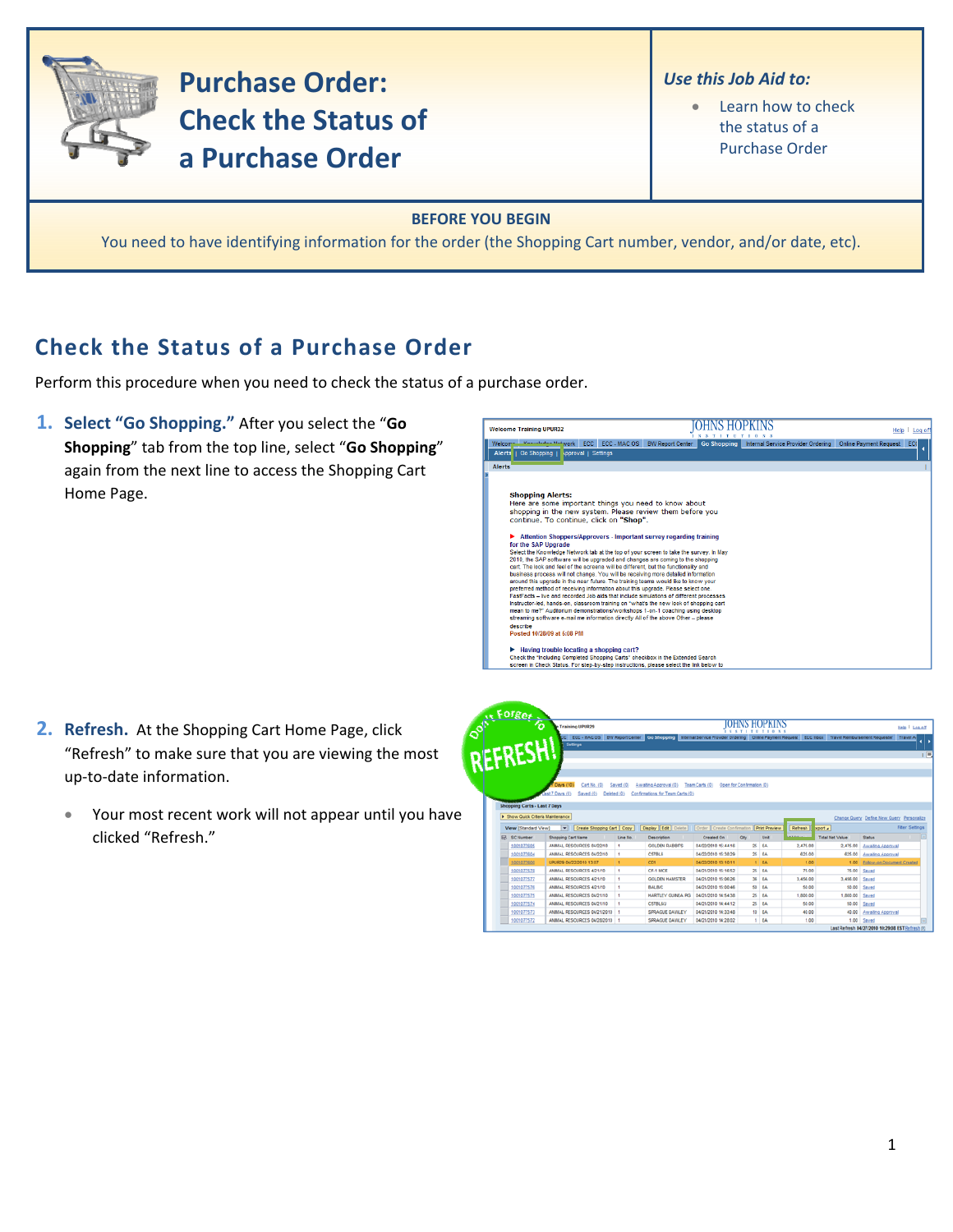

**Purchase Order: Check the Status of** a Purchase Order

- Use this Job Aid to:
	- Learn how to check  $\bullet$ the status of a **Purchase Order**

## **BEFORE YOU BEGIN**

You need to have identifying information for the order (the Shopping Cart number, vendor, and/or date, etc).

 $rac{1}{2}$ 

## **Check the Status of a Purchase Order**

Perform this procedure when you need to check the status of a purchase order.

1. Select "Go Shopping." After you select the "Go Shopping" tab from the top line, select "Go Shopping" again from the next line to access the Shopping Cart Home Page.

| <b>Welcome Training UPUR32</b>                                                                                                                                          |                         |                    |                                    | Help                          | Log of |
|-------------------------------------------------------------------------------------------------------------------------------------------------------------------------|-------------------------|--------------------|------------------------------------|-------------------------------|--------|
| <b>Vonubdon Network</b><br>Welcom<br>ECC - MAC OS<br><b>ECC</b>                                                                                                         | <b>BW Report Center</b> | <b>Go Shopping</b> | Internal Service Provider Ordering | <b>Online Payment Request</b> | EC     |
| <b>Alerts</b><br>Approval   Settings<br><b>Go Shopping</b>                                                                                                              |                         |                    |                                    |                               |        |
| <b>Alerts</b>                                                                                                                                                           |                         |                    |                                    |                               |        |
|                                                                                                                                                                         |                         |                    |                                    |                               |        |
|                                                                                                                                                                         |                         |                    |                                    |                               |        |
| <b>Shopping Alerts:</b>                                                                                                                                                 |                         |                    |                                    |                               |        |
| Here are some important things you need to know about                                                                                                                   |                         |                    |                                    |                               |        |
| shopping in the new system. Please review them before you                                                                                                               |                         |                    |                                    |                               |        |
| continue. To continue, click on "Shop".                                                                                                                                 |                         |                    |                                    |                               |        |
| Attention Shoppers/Approvers - Important survey regarding training                                                                                                      |                         |                    |                                    |                               |        |
| for the SAP Upgrade                                                                                                                                                     |                         |                    |                                    |                               |        |
| Select the Knowledge Network tab at the top of your screen to take the survey. In May                                                                                   |                         |                    |                                    |                               |        |
| 2010, the SAP software will be upgraded and changes are coming to the shopping                                                                                          |                         |                    |                                    |                               |        |
| cart. The look and feel of the screens will be different, but the functionality and                                                                                     |                         |                    |                                    |                               |        |
| business process will not change. You will be receiving more detailed information<br>around this upgrade in the near future. The training teams would like to know your |                         |                    |                                    |                               |        |
| preferred method of receiving information about this upgrade. Please select one.                                                                                        |                         |                    |                                    |                               |        |
| FastFacts - live and recorded Job aids that include simulations of different processes                                                                                  |                         |                    |                                    |                               |        |
| instructor-led, hands-on, classroom training on "what's the new look of shopping cart                                                                                   |                         |                    |                                    |                               |        |
| mean to me?" Auditorium demonstrations/workshops 1-on-1 coaching using desktop                                                                                          |                         |                    |                                    |                               |        |
| streaming software e-mail me information directly All of the above Other - please                                                                                       |                         |                    |                                    |                               |        |
| describe<br>Posted 10/28/09 at 5:08 PM                                                                                                                                  |                         |                    |                                    |                               |        |
|                                                                                                                                                                         |                         |                    |                                    |                               |        |
| Having trouble locating a shopping cart?                                                                                                                                |                         |                    |                                    |                               |        |
| Check the "Including Completed Shopping Carts" checkbox in the Extended Search                                                                                          |                         |                    |                                    |                               |        |
| screen in Check Status. For step-by-step instructions, please select the link below to                                                                                  |                         |                    |                                    |                               |        |

- 2. Refresh. At the Shopping Cart Home Page, click "Refresh" to make sure that you are viewing the most up-to-date information.
	- Your most recent work will not appear until you have  $\bullet$ clicked "Refresh."

|   | of the cater                        | e Training UPUR29                                                                                                                                                    |                          |                                  |                           |                           | <b>XX 7 1 F F F 1 0 X 1</b> |               |                        |                                           | Help   Log off                                  |
|---|-------------------------------------|----------------------------------------------------------------------------------------------------------------------------------------------------------------------|--------------------------|----------------------------------|---------------------------|---------------------------|-----------------------------|---------------|------------------------|-------------------------------------------|-------------------------------------------------|
|   | REFRESH!                            | CC ECC - MAC OS BW Report Center Co Shopping Internal Service Provider Ordering Online Payment Request ECC Inbox Travel Reinbursement Requester Travel A<br>Settings |                          |                                  |                           |                           |                             |               |                        |                                           |                                                 |
|   |                                     |                                                                                                                                                                      |                          |                                  |                           |                           |                             |               |                        |                                           |                                                 |
|   |                                     |                                                                                                                                                                      |                          |                                  |                           |                           |                             |               |                        |                                           |                                                 |
|   |                                     |                                                                                                                                                                      |                          |                                  |                           |                           |                             |               |                        |                                           |                                                 |
|   |                                     | Cart No. (0)<br>Davs (10)                                                                                                                                            | Saved (0)                | Awaiting Approval (0)            | Team Carts (0)            | Open for Confirmation (0) |                             |               |                        |                                           |                                                 |
|   |                                     | Last 7 Days (0)<br>Saved (0)<br>Deleted (0)                                                                                                                          |                          | Confirmations for Team Carts (0) |                           |                           |                             |               |                        |                                           |                                                 |
|   | <b>Shopping Carts - Last 7 Days</b> |                                                                                                                                                                      |                          |                                  |                           |                           |                             |               |                        |                                           |                                                 |
|   |                                     |                                                                                                                                                                      |                          |                                  |                           |                           |                             |               |                        |                                           |                                                 |
|   | F Show Quick Criteria Maintenance   |                                                                                                                                                                      |                          |                                  |                           |                           |                             |               |                        | Change Query Define New Query Personalize |                                                 |
|   | View [Standard View]                | Create Shopping Cart Copy<br>▾                                                                                                                                       |                          | <b>Display Edit Delete</b>       | Crder Create Confirmation |                           | <b>Print Preview</b>        | Refresh       | xport a                |                                           | <b>Fiter Settings</b>                           |
| 尿 | <b>SC Number</b>                    | Shopping Cart Name                                                                                                                                                   | Line No.                 | Description                      | Created On                | Otv                       | Unit                        | <b>ALLING</b> | <b>Total Net Value</b> | <b>Status</b>                             |                                                 |
|   | 1001077605                          | ANMAL RESOURCES 04/22/10                                                                                                                                             | ٠                        | <b>GOLDEN RABBITS</b>            | 04/22/2010 15:44:16       |                           | $25$ $BA$                   | 2.475.00      | 2.475.00               | Awalting Approval                         |                                                 |
|   | 1001077604                          | ANNAL RESOURCES 04/22/10                                                                                                                                             | $\overline{\phantom{a}}$ | <b>C57BL6</b>                    | 04/22/2010 15:38:29       |                           | $25$ $8A$                   | 625.00        | 625.00                 | Awaiting Approval                         |                                                 |
|   | 1001077600                          | UPUR29 04/22/2010 13:07                                                                                                                                              | ×                        | CD1                              | 04/22/2010 13:10:11       |                           | 1 EA                        | 1.00          |                        | 1.00 Eplow-on Document Created            |                                                 |
|   | 1001077578                          | ANMAL RESOURCES 4/21/10                                                                                                                                              | ٠                        | CF-1 MICE                        | 04/21/2010 15:16:52       |                           | 25 EA                       | 75.00         | 75.00                  | Saved                                     |                                                 |
|   | 1001077577                          | ANMAL RESOURCES 4/21/10                                                                                                                                              | f.                       | <b>GOLDEN HAMSTER</b>            | 04/21/2010 15:06:26       |                           | $36$ EA                     | 3.456.00      | 3,456.00               | Saved                                     |                                                 |
|   | 1001077576                          | ANMAL RESOURCES 4/21/10                                                                                                                                              | ٠                        | BALBIC                           | 04/21/2010 15:00:46       |                           | <b>50 EA</b>                | 50.00         |                        | 50.00 Saved                               |                                                 |
|   | 1001077575                          | ANMAL RESOURCES 04/21/10                                                                                                                                             | ٠                        | <b>HARTLEY GUNEA PIG</b>         | 04/21/2010 14:54:38       |                           | $25$ EA                     | 1,000.00      | 1,000.00               | Sayed                                     |                                                 |
|   | 1001077574                          | ANMAL RESOURCES 04/21/10                                                                                                                                             | <b>A</b>                 | CS7BL6/J                         | 04/21/2010 14:44:12       |                           | 25 EA                       | 50.00         |                        | 50.00 Saved                               |                                                 |
|   | 1001077573                          | ANMAL RESOURCES 04/21/2010 1                                                                                                                                         |                          | SPRAGUE DAWLEY                   | 04/21/2010 14:33:48       |                           | 10 EA                       | 40.00         | 40.00                  | Awaiting Approval                         |                                                 |
|   | 1001077572                          | ANMAL RESOURCES 04/28/2010 1                                                                                                                                         |                          | SPRAGUE DAWLEY                   | 04/21/2010 14:28:02       |                           | 1 EA                        | 1.00          |                        | $1.00$ Saved                              |                                                 |
|   |                                     |                                                                                                                                                                      |                          |                                  |                           |                           |                             |               |                        |                                           | Last Refresh 04/27/2010 10:29:08 ESTRefresh (C) |